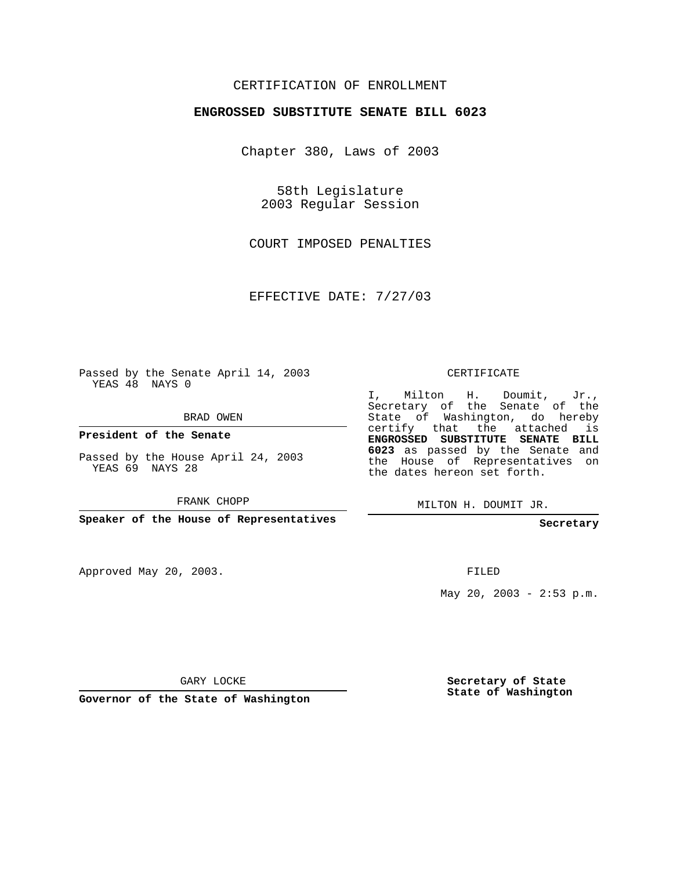## CERTIFICATION OF ENROLLMENT

## **ENGROSSED SUBSTITUTE SENATE BILL 6023**

Chapter 380, Laws of 2003

58th Legislature 2003 Regular Session

COURT IMPOSED PENALTIES

EFFECTIVE DATE: 7/27/03

Passed by the Senate April 14, 2003 YEAS 48 NAYS 0

BRAD OWEN

**President of the Senate**

Passed by the House April 24, 2003 YEAS 69 NAYS 28

FRANK CHOPP

**Speaker of the House of Representatives**

Approved May 20, 2003.

CERTIFICATE

I, Milton H. Doumit, Jr., Secretary of the Senate of the State of Washington, do hereby certify that the attached is **ENGROSSED SUBSTITUTE SENATE BILL 6023** as passed by the Senate and the House of Representatives on the dates hereon set forth.

MILTON H. DOUMIT JR.

**Secretary**

FILED

May 20, 2003 - 2:53 p.m.

GARY LOCKE

**Governor of the State of Washington**

**Secretary of State State of Washington**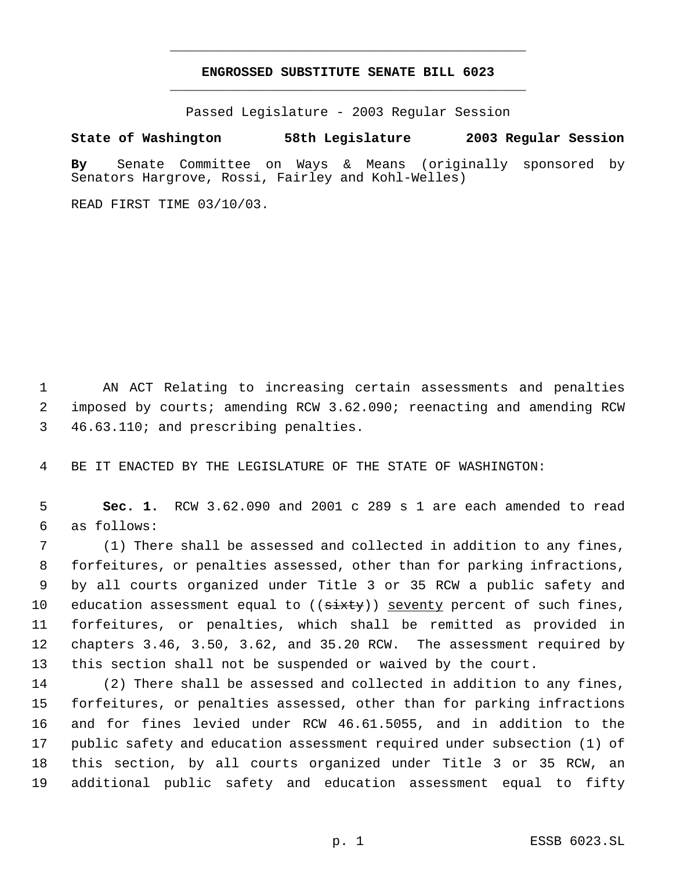## **ENGROSSED SUBSTITUTE SENATE BILL 6023** \_\_\_\_\_\_\_\_\_\_\_\_\_\_\_\_\_\_\_\_\_\_\_\_\_\_\_\_\_\_\_\_\_\_\_\_\_\_\_\_\_\_\_\_\_

\_\_\_\_\_\_\_\_\_\_\_\_\_\_\_\_\_\_\_\_\_\_\_\_\_\_\_\_\_\_\_\_\_\_\_\_\_\_\_\_\_\_\_\_\_

Passed Legislature - 2003 Regular Session

## **State of Washington 58th Legislature 2003 Regular Session**

**By** Senate Committee on Ways & Means (originally sponsored by Senators Hargrove, Rossi, Fairley and Kohl-Welles)

READ FIRST TIME 03/10/03.

 AN ACT Relating to increasing certain assessments and penalties imposed by courts; amending RCW 3.62.090; reenacting and amending RCW 46.63.110; and prescribing penalties.

BE IT ENACTED BY THE LEGISLATURE OF THE STATE OF WASHINGTON:

 **Sec. 1.** RCW 3.62.090 and 2001 c 289 s 1 are each amended to read as follows:

 (1) There shall be assessed and collected in addition to any fines, forfeitures, or penalties assessed, other than for parking infractions, by all courts organized under Title 3 or 35 RCW a public safety and 10 education assessment equal to (( $\frac{3x+y}{5}$ )) seventy percent of such fines, forfeitures, or penalties, which shall be remitted as provided in chapters 3.46, 3.50, 3.62, and 35.20 RCW. The assessment required by this section shall not be suspended or waived by the court.

 (2) There shall be assessed and collected in addition to any fines, forfeitures, or penalties assessed, other than for parking infractions and for fines levied under RCW 46.61.5055, and in addition to the public safety and education assessment required under subsection (1) of this section, by all courts organized under Title 3 or 35 RCW, an additional public safety and education assessment equal to fifty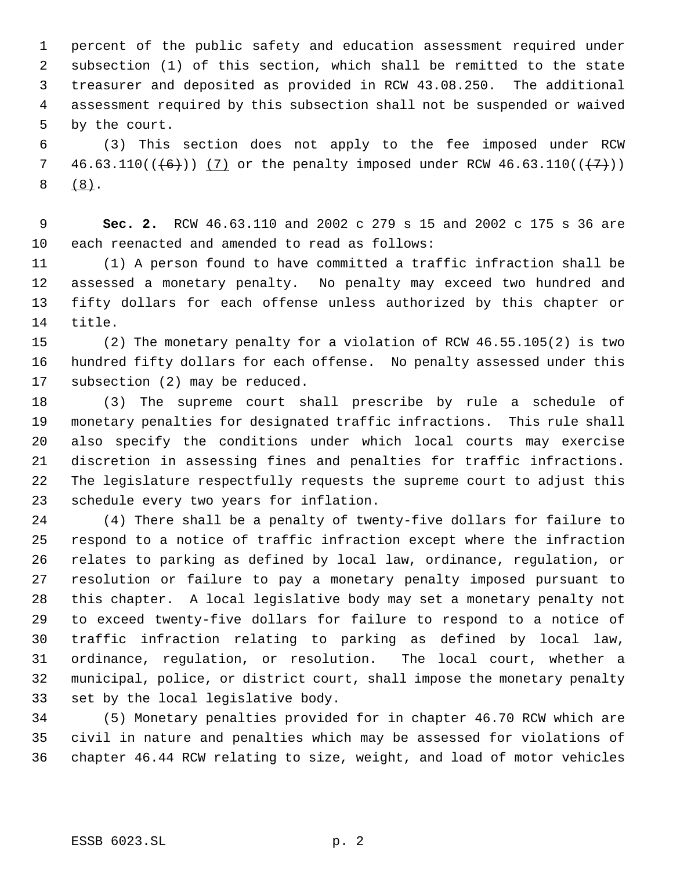percent of the public safety and education assessment required under subsection (1) of this section, which shall be remitted to the state treasurer and deposited as provided in RCW 43.08.250. The additional assessment required by this subsection shall not be suspended or waived by the court.

 (3) This section does not apply to the fee imposed under RCW 7 46.63.110( $(\frac{+}{+6})$ ) (7) or the penalty imposed under RCW 46.63.110( $(\frac{+7}{+})$ ) (8).

 **Sec. 2.** RCW 46.63.110 and 2002 c 279 s 15 and 2002 c 175 s 36 are each reenacted and amended to read as follows:

 (1) A person found to have committed a traffic infraction shall be assessed a monetary penalty. No penalty may exceed two hundred and fifty dollars for each offense unless authorized by this chapter or title.

 (2) The monetary penalty for a violation of RCW 46.55.105(2) is two hundred fifty dollars for each offense. No penalty assessed under this subsection (2) may be reduced.

 (3) The supreme court shall prescribe by rule a schedule of monetary penalties for designated traffic infractions. This rule shall also specify the conditions under which local courts may exercise discretion in assessing fines and penalties for traffic infractions. The legislature respectfully requests the supreme court to adjust this schedule every two years for inflation.

 (4) There shall be a penalty of twenty-five dollars for failure to respond to a notice of traffic infraction except where the infraction relates to parking as defined by local law, ordinance, regulation, or resolution or failure to pay a monetary penalty imposed pursuant to this chapter. A local legislative body may set a monetary penalty not to exceed twenty-five dollars for failure to respond to a notice of traffic infraction relating to parking as defined by local law, ordinance, regulation, or resolution. The local court, whether a municipal, police, or district court, shall impose the monetary penalty set by the local legislative body.

 (5) Monetary penalties provided for in chapter 46.70 RCW which are civil in nature and penalties which may be assessed for violations of chapter 46.44 RCW relating to size, weight, and load of motor vehicles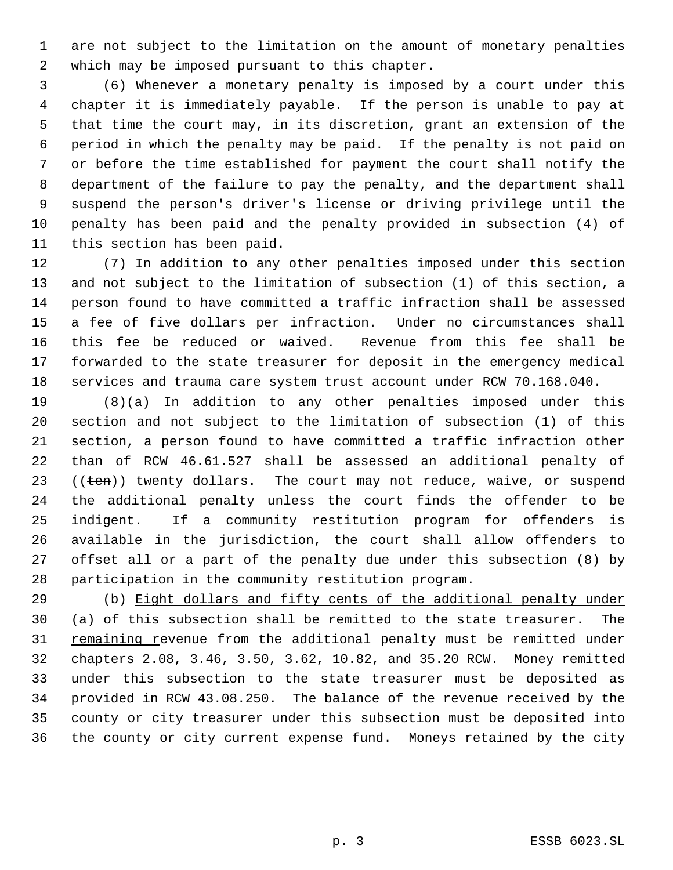are not subject to the limitation on the amount of monetary penalties which may be imposed pursuant to this chapter.

 (6) Whenever a monetary penalty is imposed by a court under this chapter it is immediately payable. If the person is unable to pay at that time the court may, in its discretion, grant an extension of the period in which the penalty may be paid. If the penalty is not paid on or before the time established for payment the court shall notify the department of the failure to pay the penalty, and the department shall suspend the person's driver's license or driving privilege until the penalty has been paid and the penalty provided in subsection (4) of this section has been paid.

 (7) In addition to any other penalties imposed under this section and not subject to the limitation of subsection (1) of this section, a person found to have committed a traffic infraction shall be assessed a fee of five dollars per infraction. Under no circumstances shall this fee be reduced or waived. Revenue from this fee shall be forwarded to the state treasurer for deposit in the emergency medical services and trauma care system trust account under RCW 70.168.040.

 (8)(a) In addition to any other penalties imposed under this section and not subject to the limitation of subsection (1) of this section, a person found to have committed a traffic infraction other than of RCW 46.61.527 shall be assessed an additional penalty of  $((ten))$  twenty dollars. The court may not reduce, waive, or suspend the additional penalty unless the court finds the offender to be indigent. If a community restitution program for offenders is available in the jurisdiction, the court shall allow offenders to offset all or a part of the penalty due under this subsection (8) by participation in the community restitution program.

29 (b) Eight dollars and fifty cents of the additional penalty under (a) of this subsection shall be remitted to the state treasurer. The 31 remaining revenue from the additional penalty must be remitted under chapters 2.08, 3.46, 3.50, 3.62, 10.82, and 35.20 RCW. Money remitted under this subsection to the state treasurer must be deposited as provided in RCW 43.08.250. The balance of the revenue received by the county or city treasurer under this subsection must be deposited into the county or city current expense fund. Moneys retained by the city